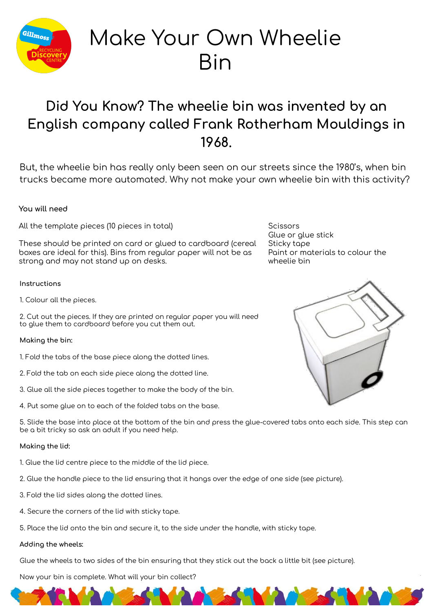

# Make Your Own Wheelie Bin

## **Did You Know? The wheelie bin was invented by an English company called Frank Rotherham Mouldings in 1968.**

But, the wheelie bin has really only been seen on our streets since the 1980's, when bin trucks became more automated. Why not make your own wheelie bin with this activity?

### **You will need**

All the template pieces (10 pieces in total)

These should be printed on card or glued to cardboard (cereal boxes are ideal for this). Bins from regular paper will not be as strong and may not stand up on desks.

#### **Instructions**

1. Colour all the pieces.

2. Cut out the pieces. If they are printed on regular paper you will need to glue them to cardboard before you cut them out.

#### **Making the bin:**

1. Fold the tabs of the base piece along the dotted lines.

- 2. Fold the tab on each side piece along the dotted line.
- 3. Glue all the side pieces together to make the body of the bin.
- 4. Put some glue on to each of the folded tabs on the base.

5. Slide the base into place at the bottom of the bin and press the glue-covered tabs onto each side. This step can be a bit tricky so ask an adult if you need help.

#### **Making the lid:**

- 1. Glue the lid centre piece to the middle of the lid piece.
- 2. Glue the handle piece to the lid ensuring that it hangs over the edge of one side (see picture).
- 3. Fold the lid sides along the dotted lines.
- 4. Secure the corners of the lid with sticky tape.
- 5. Place the lid onto the bin and secure it, to the side under the handle, with sticky tape.

#### **Adding the wheels:**

Glue the wheels to two sides of the bin ensuring that they stick out the back a little bit (see picture).

Now your bin is complete. What will your bin collect?

**Scissors** Glue or glue stick Sticky tape Paint or materials to colour the wheelie bin



1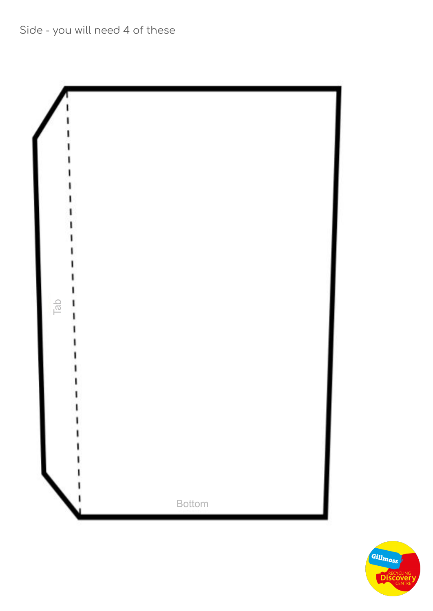Side - you will need 4 of these



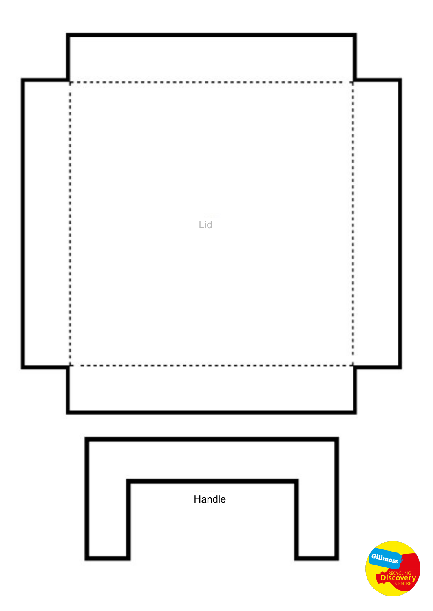